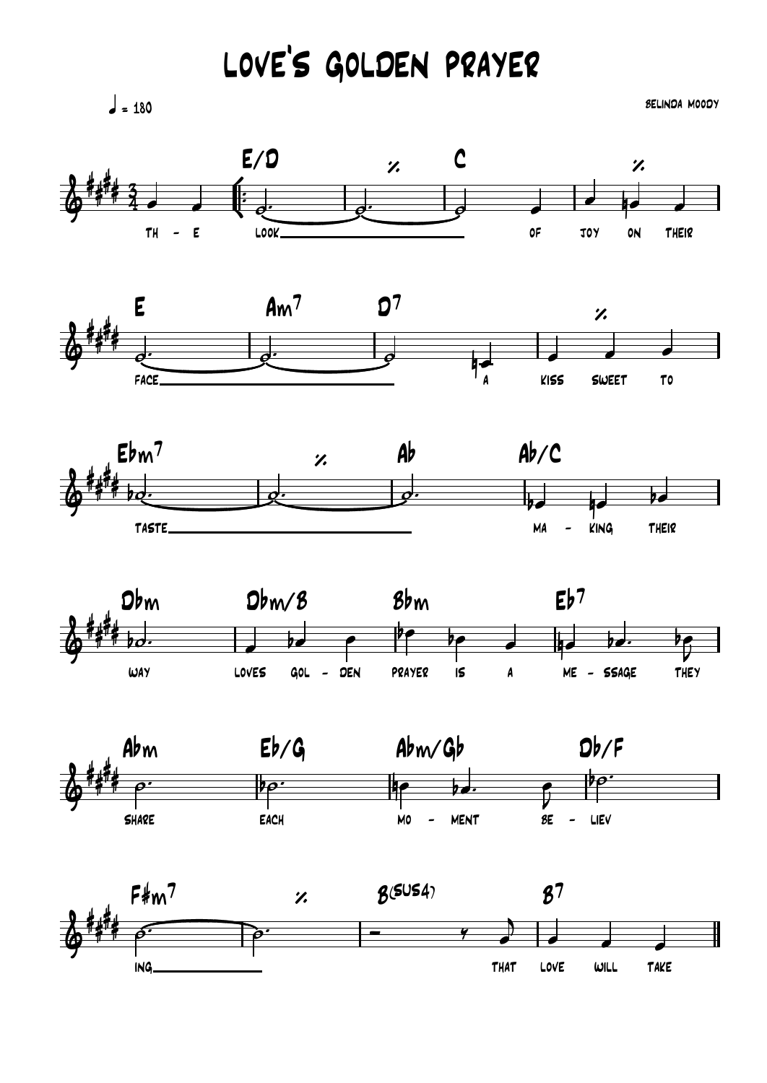## LOVE'S GOLDEN PRAYER

 $\frac{1}{2}$  = 180

**SELINDA MOODY**